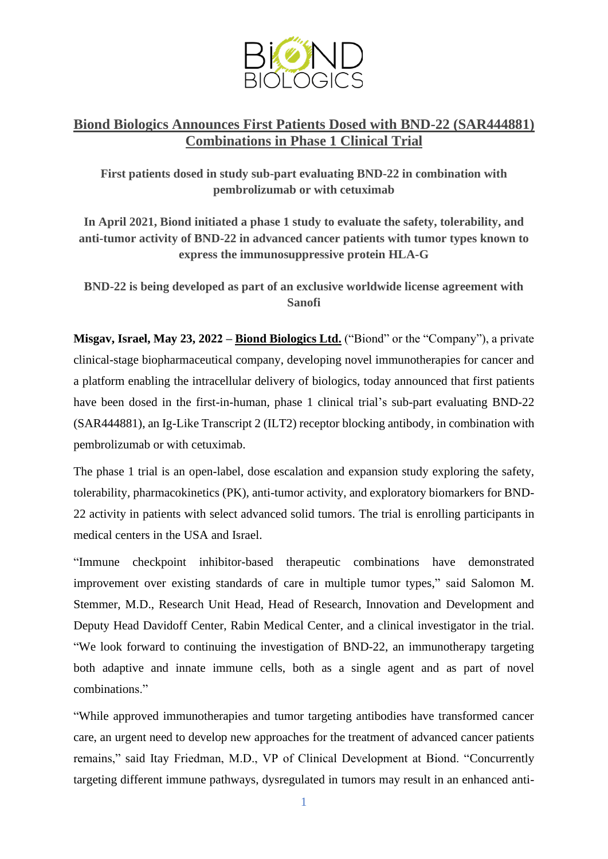

## **Biond Biologics Announces First Patients Dosed with BND-22 (SAR444881) Combinations in Phase 1 Clinical Trial**

**First patients dosed in study sub-part evaluating BND-22 in combination with pembrolizumab or with cetuximab**

**In April 2021, Biond initiated a phase 1 study to evaluate the safety, tolerability, and anti-tumor activity of BND-22 in advanced cancer patients with tumor types known to express the immunosuppressive protein HLA-G**

**BND-22 is being developed as part of an exclusive worldwide license agreement with Sanofi**

**Misgav, Israel, May 23, 2022 – Biond [Biologics](http://www.biondbio.com/) Ltd.** ("Biond" or the "Company"), a private clinical-stage biopharmaceutical company, developing novel immunotherapies for cancer and a platform enabling the intracellular delivery of biologics, today announced that first patients have been dosed in the first-in-human, phase 1 clinical trial's sub-part evaluating BND-22 (SAR444881), an Ig-Like Transcript 2 (ILT2) receptor blocking antibody, in combination with pembrolizumab or with cetuximab.

The phase 1 trial is an open-label, dose escalation and expansion study exploring the safety, tolerability, pharmacokinetics (PK), anti-tumor activity, and exploratory biomarkers for BND-22 activity in patients with select advanced solid tumors. The trial is enrolling participants in medical centers in the USA and Israel.

"Immune checkpoint inhibitor-based therapeutic combinations have demonstrated improvement over existing standards of care in multiple tumor types," said Salomon M. Stemmer, M.D., Research Unit Head, Head of Research, Innovation and Development and Deputy Head Davidoff Center, Rabin Medical Center, and a clinical investigator in the trial. "We look forward to continuing the investigation of BND-22, an immunotherapy targeting both adaptive and innate immune cells, both as a single agent and as part of novel combinations."

"While approved immunotherapies and tumor targeting antibodies have transformed cancer care, an urgent need to develop new approaches for the treatment of advanced cancer patients remains," said Itay Friedman, M.D., VP of Clinical Development at Biond. "Concurrently targeting different immune pathways, dysregulated in tumors may result in an enhanced anti-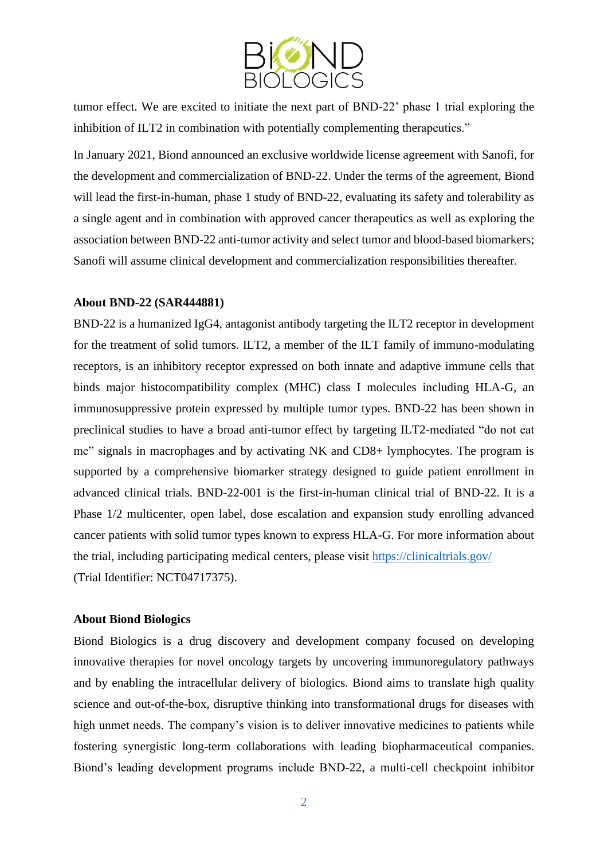

tumor effect. We are excited to initiate the next part of BND-22' phase 1 trial exploring the inhibition of ILT2 in combination with potentially complementing therapeutics."

In January 2021, Biond announced an exclusive worldwide license agreement with Sanofi, for the development and commercialization of BND-22. Under the terms of the agreement, Biond will lead the first-in-human, phase 1 study of BND-22, evaluating its safety and tolerability as a single agent and in combination with approved cancer therapeutics as well as exploring the association between BND-22 anti-tumor activity and select tumor and blood-based biomarkers; Sanofi will assume clinical development and commercialization responsibilities thereafter.

## **About BND-22 (SAR444881)**

BND-22 is a humanized IgG4, antagonist antibody targeting the ILT2 receptor in development for the treatment of solid tumors. ILT2, a member of the ILT family of immuno-modulating receptors, is an inhibitory receptor expressed on both innate and adaptive immune cells that binds major histocompatibility complex (MHC) class I molecules including HLA-G, an immunosuppressive protein expressed by multiple tumor types. BND-22 has been shown in preclinical studies to have a broad anti-tumor effect by targeting ILT2-mediated "do not eat me" signals in macrophages and by activating NK and CD8+ lymphocytes. The program is supported by a comprehensive biomarker strategy designed to guide patient enrollment in advanced clinical trials. BND-22-001 is the first-in-human clinical trial of BND-22. It is a Phase 1/2 multicenter, open label, dose escalation and expansion study enrolling advanced cancer patients with solid tumor types known to express HLA-G. For more information about the trial, including participating medical centers, please visit<https://clinicaltrials.gov/> (Trial Identifier: NCT04717375).

## **About Biond Biologics**

Biond Biologics is a drug discovery and development company focused on developing innovative therapies for novel oncology targets by uncovering immunoregulatory pathways and by enabling the intracellular delivery of biologics. Biond aims to translate high quality science and out-of-the-box, disruptive thinking into transformational drugs for diseases with high unmet needs. The company's vision is to deliver innovative medicines to patients while fostering synergistic long-term collaborations with leading biopharmaceutical companies. Biond's leading development programs include BND-22, a multi-cell checkpoint inhibitor